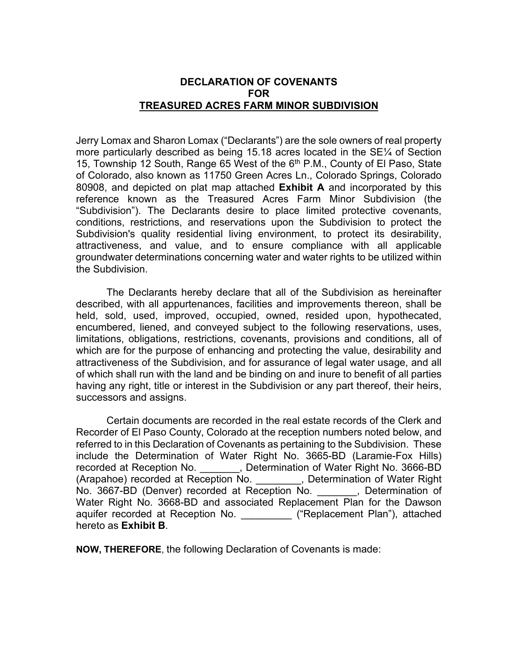#### **DECLARATION OF COVENANTS FOR TREASURED ACRES FARM MINOR SUBDIVISION**

Jerry Lomax and Sharon Lomax ("Declarants") are the sole owners of real property more particularly described as being 15.18 acres located in the SE¼ of Section 15, Township 12 South, Range 65 West of the 6<sup>th</sup> P.M., County of El Paso, State of Colorado, also known as 11750 Green Acres Ln., Colorado Springs, Colorado 80908, and depicted on plat map attached **Exhibit A** and incorporated by this reference known as the Treasured Acres Farm Minor Subdivision (the "Subdivision"). The Declarants desire to place limited protective covenants, conditions, restrictions, and reservations upon the Subdivision to protect the Subdivision's quality residential living environment, to protect its desirability, attractiveness, and value, and to ensure compliance with all applicable groundwater determinations concerning water and water rights to be utilized within the Subdivision.

The Declarants hereby declare that all of the Subdivision as hereinafter described, with all appurtenances, facilities and improvements thereon, shall be held, sold, used, improved, occupied, owned, resided upon, hypothecated, encumbered, liened, and conveyed subject to the following reservations, uses, limitations, obligations, restrictions, covenants, provisions and conditions, all of which are for the purpose of enhancing and protecting the value, desirability and attractiveness of the Subdivision, and for assurance of legal water usage, and all of which shall run with the land and be binding on and inure to benefit of all parties having any right, title or interest in the Subdivision or any part thereof, their heirs, successors and assigns.

Certain documents are recorded in the real estate records of the Clerk and Recorder of El Paso County, Colorado at the reception numbers noted below, and referred to in this Declaration of Covenants as pertaining to the Subdivision. These include the Determination of Water Right No. 3665-BD (Laramie-Fox Hills) recorded at Reception No. \_\_\_\_\_\_\_, Determination of Water Right No. 3666-BD (Arapahoe) recorded at Reception No. \_\_\_\_\_\_\_\_, Determination of Water Right No. 3667-BD (Denver) recorded at Reception No. **Example:** Determination of Water Right No. 3668-BD and associated Replacement Plan for the Dawson aquifer recorded at Reception No. **Example 20** ("Replacement Plan"), attached hereto as **Exhibit B**.

**NOW, THEREFORE**, the following Declaration of Covenants is made: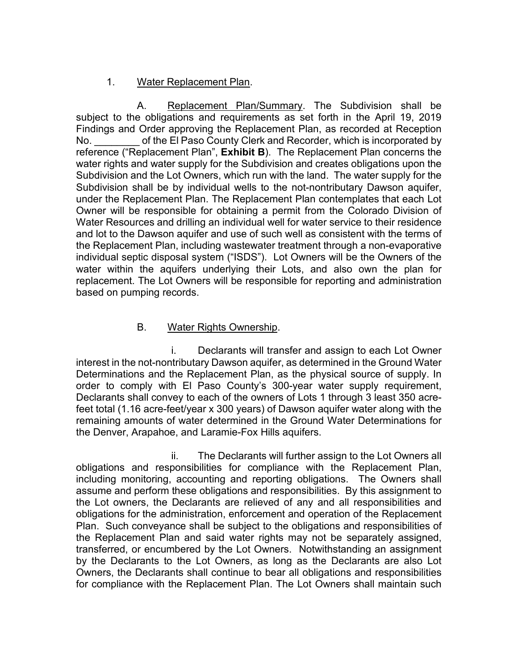### 1. Water Replacement Plan.

A. Replacement Plan/Summary. The Subdivision shall be subject to the obligations and requirements as set forth in the April 19, 2019 Findings and Order approving the Replacement Plan, as recorded at Reception No.  $\blacksquare$  of the El Paso County Clerk and Recorder, which is incorporated by reference ("Replacement Plan", **Exhibit B**). The Replacement Plan concerns the water rights and water supply for the Subdivision and creates obligations upon the Subdivision and the Lot Owners, which run with the land. The water supply for the Subdivision shall be by individual wells to the not-nontributary Dawson aquifer, under the Replacement Plan. The Replacement Plan contemplates that each Lot Owner will be responsible for obtaining a permit from the Colorado Division of Water Resources and drilling an individual well for water service to their residence and lot to the Dawson aquifer and use of such well as consistent with the terms of the Replacement Plan, including wastewater treatment through a non-evaporative individual septic disposal system ("ISDS"). Lot Owners will be the Owners of the water within the aquifers underlying their Lots, and also own the plan for replacement. The Lot Owners will be responsible for reporting and administration based on pumping records.

# B. Water Rights Ownership.

i. Declarants will transfer and assign to each Lot Owner interest in the not-nontributary Dawson aquifer, as determined in the Ground Water Determinations and the Replacement Plan, as the physical source of supply. In order to comply with El Paso County's 300-year water supply requirement, Declarants shall convey to each of the owners of Lots 1 through 3 least 350 acrefeet total (1.16 acre-feet/year x 300 years) of Dawson aquifer water along with the remaining amounts of water determined in the Ground Water Determinations for the Denver, Arapahoe, and Laramie-Fox Hills aquifers.

ii. The Declarants will further assign to the Lot Owners all obligations and responsibilities for compliance with the Replacement Plan, including monitoring, accounting and reporting obligations. The Owners shall assume and perform these obligations and responsibilities. By this assignment to the Lot owners, the Declarants are relieved of any and all responsibilities and obligations for the administration, enforcement and operation of the Replacement Plan. Such conveyance shall be subject to the obligations and responsibilities of the Replacement Plan and said water rights may not be separately assigned, transferred, or encumbered by the Lot Owners. Notwithstanding an assignment by the Declarants to the Lot Owners, as long as the Declarants are also Lot Owners, the Declarants shall continue to bear all obligations and responsibilities for compliance with the Replacement Plan. The Lot Owners shall maintain such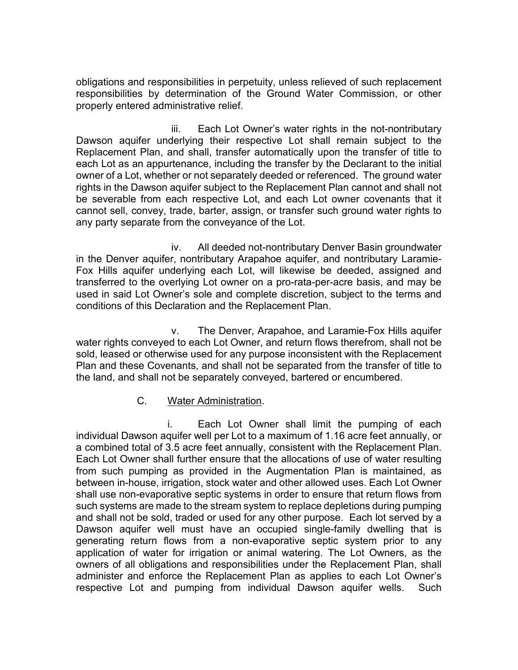obligations and responsibilities in perpetuity, unless relieved of such replacement responsibilities by determination of the Ground Water Commission, or other properly entered administrative relief.

iii. Each Lot Owner's water rights in the not-nontributary Dawson aquifer underlying their respective Lot shall remain subject to the Replacement Plan, and shall, transfer automatically upon the transfer of title to each Lot as an appurtenance, including the transfer by the Declarant to the initial owner of a Lot, whether or not separately deeded or referenced. The ground water rights in the Dawson aquifer subject to the Replacement Plan cannot and shall not be severable from each respective Lot, and each Lot owner covenants that it cannot sell, convey, trade, barter, assign, or transfer such ground water rights to any party separate from the conveyance of the Lot.

iv. All deeded not-nontributary Denver Basin groundwater in the Denver aquifer, nontributary Arapahoe aquifer, and nontributary Laramie-Fox Hills aquifer underlying each Lot, will likewise be deeded, assigned and transferred to the overlying Lot owner on a pro-rata-per-acre basis, and may be used in said Lot Owner's sole and complete discretion, subject to the terms and conditions of this Declaration and the Replacement Plan.

v. The Denver, Arapahoe, and Laramie-Fox Hills aquifer water rights conveyed to each Lot Owner, and return flows therefrom, shall not be sold, leased or otherwise used for any purpose inconsistent with the Replacement Plan and these Covenants, and shall not be separated from the transfer of title to the land, and shall not be separately conveyed, bartered or encumbered.

# C. Water Administration.

i. Each Lot Owner shall limit the pumping of each individual Dawson aquifer well per Lot to a maximum of 1.16 acre feet annually, or a combined total of 3.5 acre feet annually, consistent with the Replacement Plan. Each Lot Owner shall further ensure that the allocations of use of water resulting from such pumping as provided in the Augmentation Plan is maintained, as between in-house, irrigation, stock water and other allowed uses. Each Lot Owner shall use non-evaporative septic systems in order to ensure that return flows from such systems are made to the stream system to replace depletions during pumping and shall not be sold, traded or used for any other purpose. Each lot served by a Dawson aquifer well must have an occupied single-family dwelling that is generating return flows from a non-evaporative septic system prior to any application of water for irrigation or animal watering. The Lot Owners, as the owners of all obligations and responsibilities under the Replacement Plan, shall administer and enforce the Replacement Plan as applies to each Lot Owner's respective Lot and pumping from individual Dawson aquifer wells. Such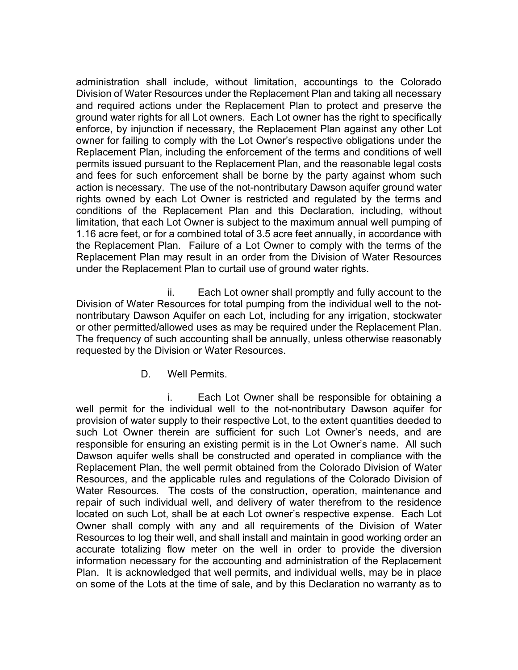administration shall include, without limitation, accountings to the Colorado Division of Water Resources under the Replacement Plan and taking all necessary and required actions under the Replacement Plan to protect and preserve the ground water rights for all Lot owners. Each Lot owner has the right to specifically enforce, by injunction if necessary, the Replacement Plan against any other Lot owner for failing to comply with the Lot Owner's respective obligations under the Replacement Plan, including the enforcement of the terms and conditions of well permits issued pursuant to the Replacement Plan, and the reasonable legal costs and fees for such enforcement shall be borne by the party against whom such action is necessary. The use of the not-nontributary Dawson aquifer ground water rights owned by each Lot Owner is restricted and regulated by the terms and conditions of the Replacement Plan and this Declaration, including, without limitation, that each Lot Owner is subject to the maximum annual well pumping of 1.16 acre feet, or for a combined total of 3.5 acre feet annually, in accordance with the Replacement Plan. Failure of a Lot Owner to comply with the terms of the Replacement Plan may result in an order from the Division of Water Resources under the Replacement Plan to curtail use of ground water rights.

ii. Each Lot owner shall promptly and fully account to the Division of Water Resources for total pumping from the individual well to the notnontributary Dawson Aquifer on each Lot, including for any irrigation, stockwater or other permitted/allowed uses as may be required under the Replacement Plan. The frequency of such accounting shall be annually, unless otherwise reasonably requested by the Division or Water Resources.

#### D. Well Permits.

i. Each Lot Owner shall be responsible for obtaining a well permit for the individual well to the not-nontributary Dawson aquifer for provision of water supply to their respective Lot, to the extent quantities deeded to such Lot Owner therein are sufficient for such Lot Owner's needs, and are responsible for ensuring an existing permit is in the Lot Owner's name. All such Dawson aquifer wells shall be constructed and operated in compliance with the Replacement Plan, the well permit obtained from the Colorado Division of Water Resources, and the applicable rules and regulations of the Colorado Division of Water Resources. The costs of the construction, operation, maintenance and repair of such individual well, and delivery of water therefrom to the residence located on such Lot, shall be at each Lot owner's respective expense. Each Lot Owner shall comply with any and all requirements of the Division of Water Resources to log their well, and shall install and maintain in good working order an accurate totalizing flow meter on the well in order to provide the diversion information necessary for the accounting and administration of the Replacement Plan. It is acknowledged that well permits, and individual wells, may be in place on some of the Lots at the time of sale, and by this Declaration no warranty as to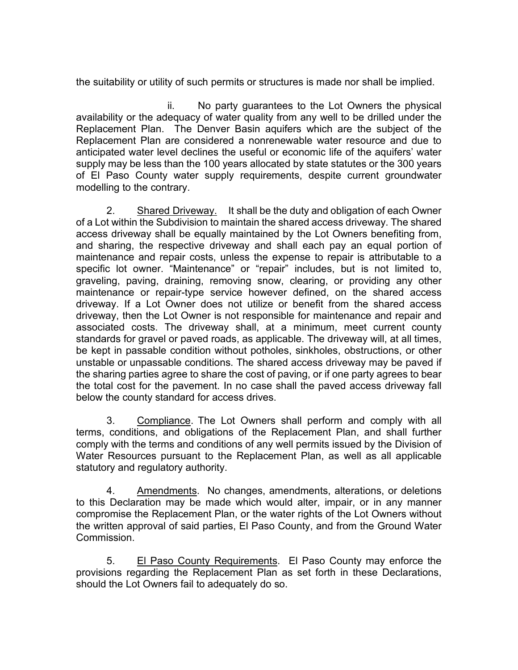the suitability or utility of such permits or structures is made nor shall be implied.

ii. No party guarantees to the Lot Owners the physical availability or the adequacy of water quality from any well to be drilled under the Replacement Plan. The Denver Basin aquifers which are the subject of the Replacement Plan are considered a nonrenewable water resource and due to anticipated water level declines the useful or economic life of the aquifers' water supply may be less than the 100 years allocated by state statutes or the 300 years of El Paso County water supply requirements, despite current groundwater modelling to the contrary.

2. Shared Driveway. It shall be the duty and obligation of each Owner of a Lot within the Subdivision to maintain the shared access driveway. The shared access driveway shall be equally maintained by the Lot Owners benefiting from, and sharing, the respective driveway and shall each pay an equal portion of maintenance and repair costs, unless the expense to repair is attributable to a specific lot owner. "Maintenance" or "repair" includes, but is not limited to, graveling, paving, draining, removing snow, clearing, or providing any other maintenance or repair-type service however defined, on the shared access driveway. If a Lot Owner does not utilize or benefit from the shared access driveway, then the Lot Owner is not responsible for maintenance and repair and associated costs. The driveway shall, at a minimum, meet current county standards for gravel or paved roads, as applicable. The driveway will, at all times, be kept in passable condition without potholes, sinkholes, obstructions, or other unstable or unpassable conditions. The shared access driveway may be paved if the sharing parties agree to share the cost of paving, or if one party agrees to bear the total cost for the pavement. In no case shall the paved access driveway fall below the county standard for access drives.

3. Compliance. The Lot Owners shall perform and comply with all terms, conditions, and obligations of the Replacement Plan, and shall further comply with the terms and conditions of any well permits issued by the Division of Water Resources pursuant to the Replacement Plan, as well as all applicable statutory and regulatory authority.

4. Amendments. No changes, amendments, alterations, or deletions to this Declaration may be made which would alter, impair, or in any manner compromise the Replacement Plan, or the water rights of the Lot Owners without the written approval of said parties, El Paso County, and from the Ground Water Commission.

5. El Paso County Requirements. El Paso County may enforce the provisions regarding the Replacement Plan as set forth in these Declarations, should the Lot Owners fail to adequately do so.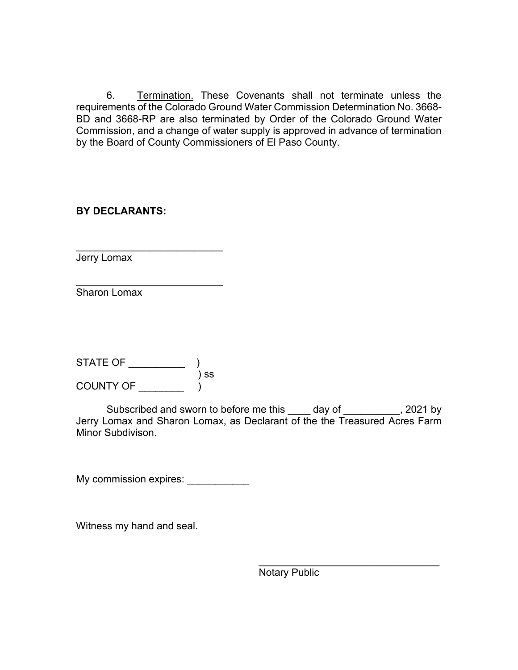6. Termination. These Covenants shall not terminate unless the requirements of the Colorado Ground Water Commission Determination No. 3668- BD and 3668-RP are also terminated by Order of the Colorado Ground Water Commission, and a change of water supply is approved in advance of termination by the Board of County Commissioners of El Paso County.

**BY DECLARANTS:**

\_\_\_\_\_\_\_\_\_\_\_\_\_\_\_\_\_\_\_\_\_\_\_\_\_\_ Jerry Lomax

\_\_\_\_\_\_\_\_\_\_\_\_\_\_\_\_\_\_\_\_\_\_\_\_\_\_ Sharon Lomax

STATE OF \_\_\_\_\_\_\_\_\_\_ ) ) ss COUNTY OF \_\_\_\_\_\_\_\_ )

Subscribed and sworn to before me this \_\_\_\_ day of \_\_\_\_\_\_\_\_\_, 2021 by Jerry Lomax and Sharon Lomax, as Declarant of the the Treasured Acres Farm Minor Subdivison.

My commission expires:

Witness my hand and seal.

\_\_\_\_\_\_\_\_\_\_\_\_\_\_\_\_\_\_\_\_\_\_\_\_\_\_\_\_\_\_\_\_ Notary Public